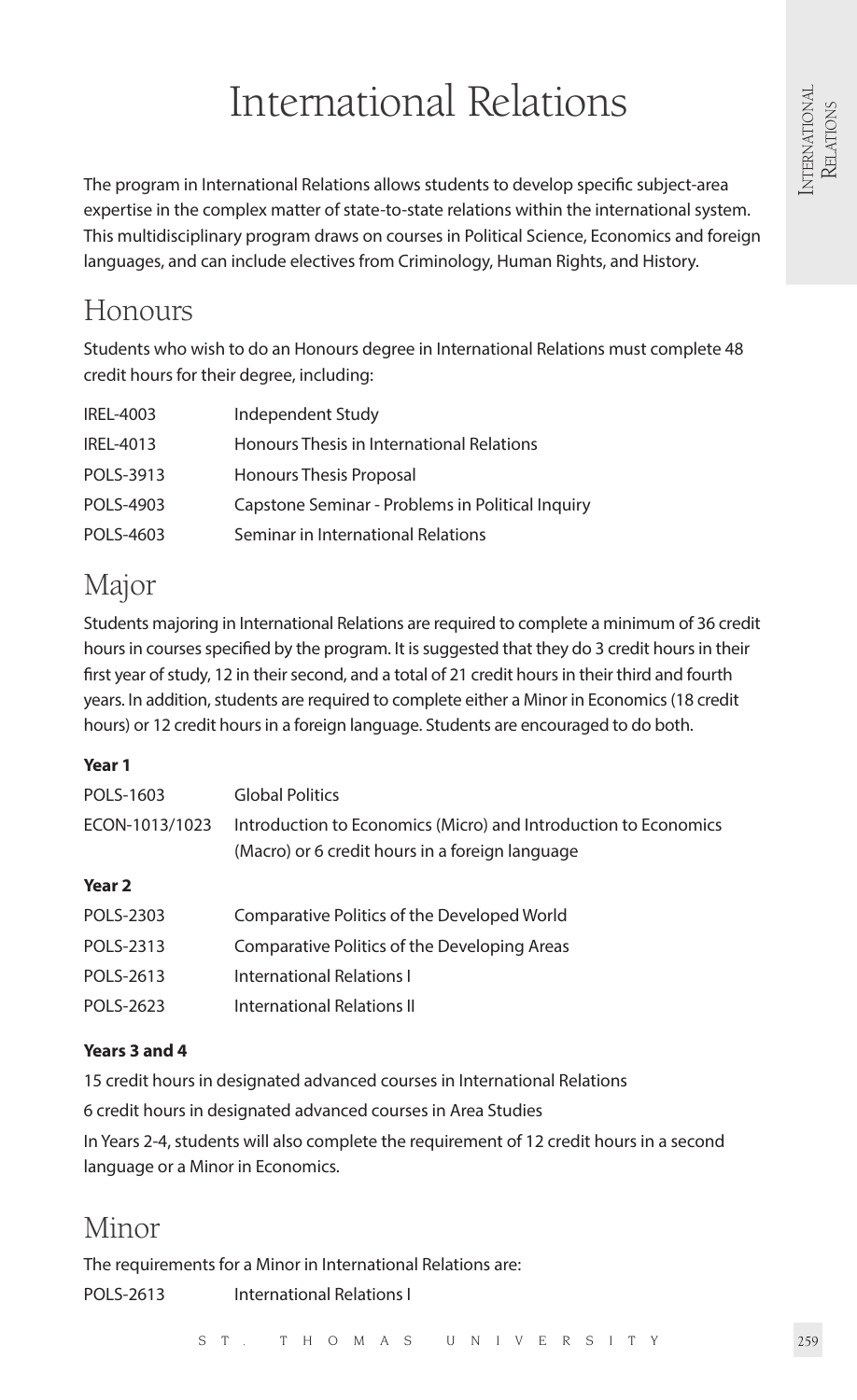# International Relations

The program in International Relations allows students to develop specific subject-area expertise in the complex matter of state-to-state relations within the international system. This multidisciplinary program draws on courses in Political Science, Economics and foreign languages, and can include electives from Criminology, Human Rights, and History.

# Honours

Students who wish to do an Honours degree in International Relations must complete 48 credit hours for their degree, including:

| IREL-4003 | Independent Study                                |
|-----------|--------------------------------------------------|
| IREL-4013 | Honours Thesis in International Relations        |
| POLS-3913 | Honours Thesis Proposal                          |
| POLS-4903 | Capstone Seminar - Problems in Political Inquiry |
| POLS-4603 | Seminar in International Relations               |

# Major

Students majoring in International Relations are required to complete a minimum of 36 credit hours in courses specified by the program. It is suggested that they do 3 credit hours in their first year of study, 12 in their second, and a total of 21 credit hours in their third and fourth years. In addition, students are required to complete either a Minor in Economics (18 credit hours) or 12 credit hours in a foreign language. Students are encouraged to do both.

# **Year 1**

| POLS-1603         | <b>Global Politics</b>                                                                                             |
|-------------------|--------------------------------------------------------------------------------------------------------------------|
| ECON-1013/1023    | Introduction to Economics (Micro) and Introduction to Economics<br>(Macro) or 6 credit hours in a foreign language |
| Year <sub>2</sub> |                                                                                                                    |
| POLS-2303         | Comparative Politics of the Developed World                                                                        |
| POLS-2313         | Comparative Politics of the Developing Areas                                                                       |
| POLS-2613         | International Relations I                                                                                          |
| POLS-2623         | International Relations II                                                                                         |

# **Years 3 and 4**

15 credit hours in designated advanced courses in International Relations

6 credit hours in designated advanced courses in Area Studies

In Years 2-4, students will also complete the requirement of 12 credit hours in a second language or a Minor in Economics.

# Minor

The requirements for a Minor in International Relations are: POLS-2613 International Relations I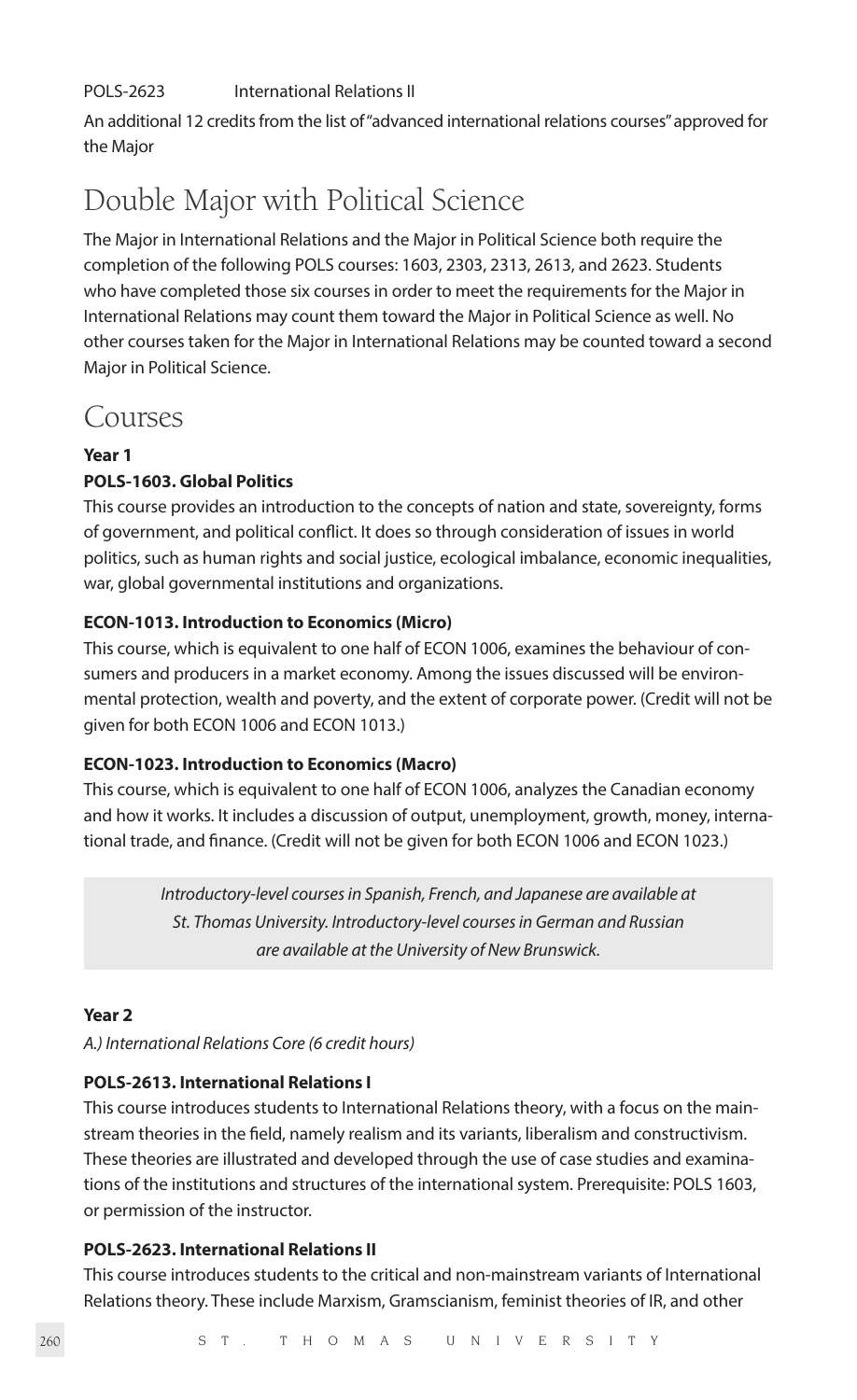# POLS-2623 International Relations II

An additional 12 credits from the list of "advanced international relations courses" approved for the Major

# Double Major with Political Science

The Major in International Relations and the Major in Political Science both require the completion of the following POLS courses: 1603, 2303, 2313, 2613, and 2623. Students who have completed those six courses in order to meet the requirements for the Major in International Relations may count them toward the Major in Political Science as well. No other courses taken for the Major in International Relations may be counted toward a second Major in Political Science.

# Courses

# **Year 1**

# **POLS-1603. Global Politics**

This course provides an introduction to the concepts of nation and state, sovereignty, forms of government, and political conflict. It does so through consideration of issues in world politics, such as human rights and social justice, ecological imbalance, economic inequalities, war, global governmental institutions and organizations.

# **ECON-1013. Introduction to Economics (Micro)**

This course, which is equivalent to one half of ECON 1006, examines the behaviour of consumers and producers in a market economy. Among the issues discussed will be environmental protection, wealth and poverty, and the extent of corporate power. (Credit will not be given for both ECON 1006 and ECON 1013.)

# **ECON-1023. Introduction to Economics (Macro)**

This course, which is equivalent to one half of ECON 1006, analyzes the Canadian economy and how it works. It includes a discussion of output, unemployment, growth, money, international trade, and finance. (Credit will not be given for both ECON 1006 and ECON 1023.)

> *Introductory-level courses in Spanish, French, and Japanese are available at St. Thomas University. Introductory-level courses in German and Russian are available at the University of New Brunswick.*

# **Year 2**

*A.) International Relations Core (6 credit hours)*

# **POLS-2613. International Relations I**

This course introduces students to International Relations theory, with a focus on the mainstream theories in the field, namely realism and its variants, liberalism and constructivism. These theories are illustrated and developed through the use of case studies and examinations of the institutions and structures of the international system. Prerequisite: POLS 1603, or permission of the instructor.

# **POLS-2623. International Relations II**

This course introduces students to the critical and non-mainstream variants of International Relations theory. These include Marxism, Gramscianism, feminist theories of IR, and other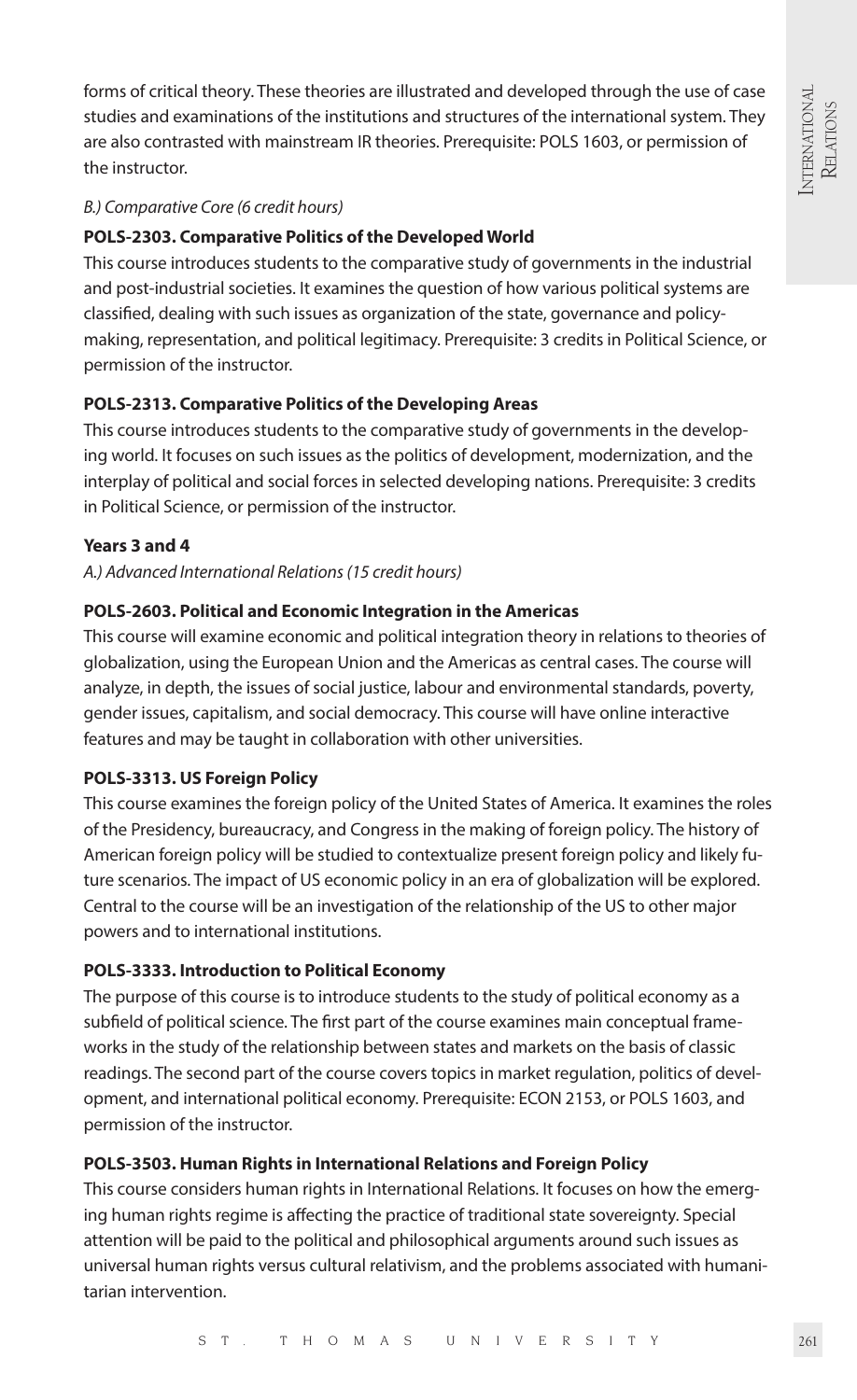forms of critical theory. These theories are illustrated and developed through the use of case studies and examinations of the institutions and structures of the international system. They are also contrasted with mainstream IR theories. Prerequisite: POLS 1603, or permission of the instructor.

# *B.) Comparative Core (6 credit hours)*

# **POLS-2303. Comparative Politics of the Developed World**

This course introduces students to the comparative study of governments in the industrial and post-industrial societies. It examines the question of how various political systems are classified, dealing with such issues as organization of the state, governance and policymaking, representation, and political legitimacy. Prerequisite: 3 credits in Political Science, or permission of the instructor.

# **POLS-2313. Comparative Politics of the Developing Areas**

This course introduces students to the comparative study of governments in the developing world. It focuses on such issues as the politics of development, modernization, and the interplay of political and social forces in selected developing nations. Prerequisite: 3 credits in Political Science, or permission of the instructor.

# **Years 3 and 4**

#### *A.) Advanced International Relations (15 credit hours)*

#### **POLS-2603. Political and Economic Integration in the Americas**

This course will examine economic and political integration theory in relations to theories of globalization, using the European Union and the Americas as central cases. The course will analyze, in depth, the issues of social justice, labour and environmental standards, poverty, gender issues, capitalism, and social democracy. This course will have online interactive features and may be taught in collaboration with other universities.

#### **POLS-3313. US Foreign Policy**

This course examines the foreign policy of the United States of America. It examines the roles of the Presidency, bureaucracy, and Congress in the making of foreign policy. The history of American foreign policy will be studied to contextualize present foreign policy and likely future scenarios. The impact of US economic policy in an era of globalization will be explored. Central to the course will be an investigation of the relationship of the US to other major powers and to international institutions.

#### **POLS-3333. Introduction to Political Economy**

The purpose of this course is to introduce students to the study of political economy as a subfield of political science. The first part of the course examines main conceptual frameworks in the study of the relationship between states and markets on the basis of classic readings. The second part of the course covers topics in market regulation, politics of development, and international political economy. Prerequisite: ECON 2153, or POLS 1603, and permission of the instructor.

# **POLS-3503. Human Rights in International Relations and Foreign Policy**

This course considers human rights in International Relations. It focuses on how the emerging human rights regime is affecting the practice of traditional state sovereignty. Special attention will be paid to the political and philosophical arguments around such issues as universal human rights versus cultural relativism, and the problems associated with humanitarian intervention.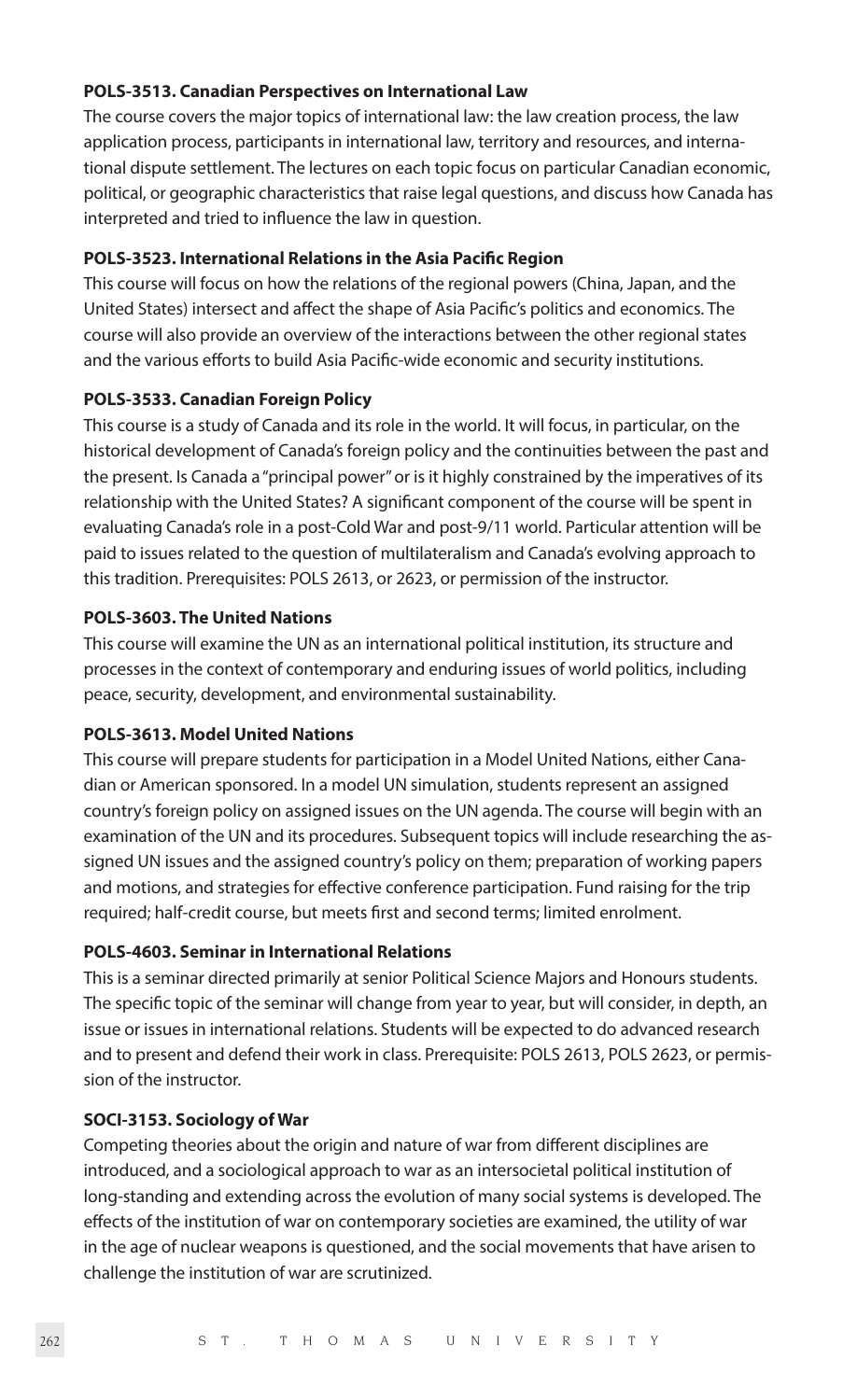#### **POLS-3513. Canadian Perspectives on International Law**

The course covers the major topics of international law: the law creation process, the law application process, participants in international law, territory and resources, and international dispute settlement. The lectures on each topic focus on particular Canadian economic, political, or geographic characteristics that raise legal questions, and discuss how Canada has interpreted and tried to influence the law in question.

#### **POLS-3523. International Relations in the Asia Pacific Region**

This course will focus on how the relations of the regional powers (China, Japan, and the United States) intersect and affect the shape of Asia Pacific's politics and economics. The course will also provide an overview of the interactions between the other regional states and the various efforts to build Asia Pacific-wide economic and security institutions.

# **POLS-3533. Canadian Foreign Policy**

This course is a study of Canada and its role in the world. It will focus, in particular, on the historical development of Canada's foreign policy and the continuities between the past and the present. Is Canada a "principal power" or is it highly constrained by the imperatives of its relationship with the United States? A significant component of the course will be spent in evaluating Canada's role in a post-Cold War and post-9/11 world. Particular attention will be paid to issues related to the question of multilateralism and Canada's evolving approach to this tradition. Prerequisites: POLS 2613, or 2623, or permission of the instructor.

# **POLS-3603. The United Nations**

This course will examine the UN as an international political institution, its structure and processes in the context of contemporary and enduring issues of world politics, including peace, security, development, and environmental sustainability.

#### **POLS-3613. Model United Nations**

This course will prepare students for participation in a Model United Nations, either Canadian or American sponsored. In a model UN simulation, students represent an assigned country's foreign policy on assigned issues on the UN agenda. The course will begin with an examination of the UN and its procedures. Subsequent topics will include researching the assigned UN issues and the assigned country's policy on them; preparation of working papers and motions, and strategies for effective conference participation. Fund raising for the trip required; half-credit course, but meets first and second terms; limited enrolment.

#### **POLS-4603. Seminar in International Relations**

This is a seminar directed primarily at senior Political Science Majors and Honours students. The specific topic of the seminar will change from year to year, but will consider, in depth, an issue or issues in international relations. Students will be expected to do advanced research and to present and defend their work in class. Prerequisite: POLS 2613, POLS 2623, or permission of the instructor.

#### **SOCI-3153. Sociology of War**

Competing theories about the origin and nature of war from different disciplines are introduced, and a sociological approach to war as an intersocietal political institution of long-standing and extending across the evolution of many social systems is developed. The effects of the institution of war on contemporary societies are examined, the utility of war in the age of nuclear weapons is questioned, and the social movements that have arisen to challenge the institution of war are scrutinized.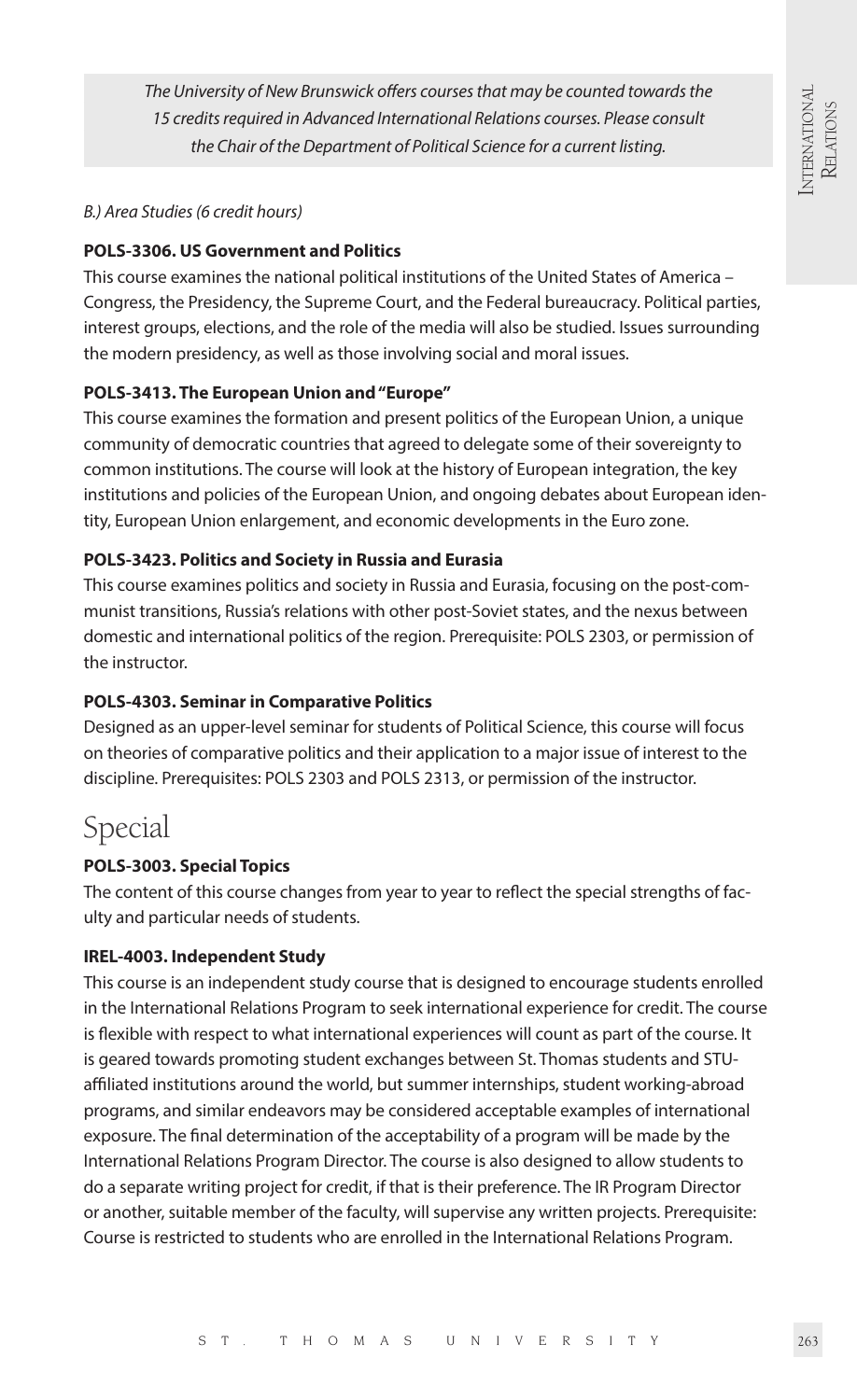*The University of New Brunswick offers courses that may be counted towards the 15 credits required in Advanced International Relations courses. Please consult the Chair of the Department of Political Science for a current listing.*

#### *B.) Area Studies (6 credit hours)*

# **POLS-3306. US Government and Politics**

This course examines the national political institutions of the United States of America – Congress, the Presidency, the Supreme Court, and the Federal bureaucracy. Political parties, interest groups, elections, and the role of the media will also be studied. Issues surrounding the modern presidency, as well as those involving social and moral issues.

# **POLS-3413. The European Union and "Europe"**

This course examines the formation and present politics of the European Union, a unique community of democratic countries that agreed to delegate some of their sovereignty to common institutions. The course will look at the history of European integration, the key institutions and policies of the European Union, and ongoing debates about European identity, European Union enlargement, and economic developments in the Euro zone.

# **POLS-3423. Politics and Society in Russia and Eurasia**

This course examines politics and society in Russia and Eurasia, focusing on the post-communist transitions, Russia's relations with other post-Soviet states, and the nexus between domestic and international politics of the region. Prerequisite: POLS 2303, or permission of the instructor.

# **POLS-4303. Seminar in Comparative Politics**

Designed as an upper-level seminar for students of Political Science, this course will focus on theories of comparative politics and their application to a major issue of interest to the discipline. Prerequisites: POLS 2303 and POLS 2313, or permission of the instructor.

# Special

# **POLS-3003. Special Topics**

The content of this course changes from year to year to reflect the special strengths of faculty and particular needs of students.

# **IREL-4003. Independent Study**

This course is an independent study course that is designed to encourage students enrolled in the International Relations Program to seek international experience for credit. The course is flexible with respect to what international experiences will count as part of the course. It is geared towards promoting student exchanges between St. Thomas students and STUaffiliated institutions around the world, but summer internships, student working-abroad programs, and similar endeavors may be considered acceptable examples of international exposure. The final determination of the acceptability of a program will be made by the International Relations Program Director. The course is also designed to allow students to do a separate writing project for credit, if that is their preference. The IR Program Director or another, suitable member of the faculty, will supervise any written projects. Prerequisite: Course is restricted to students who are enrolled in the International Relations Program.